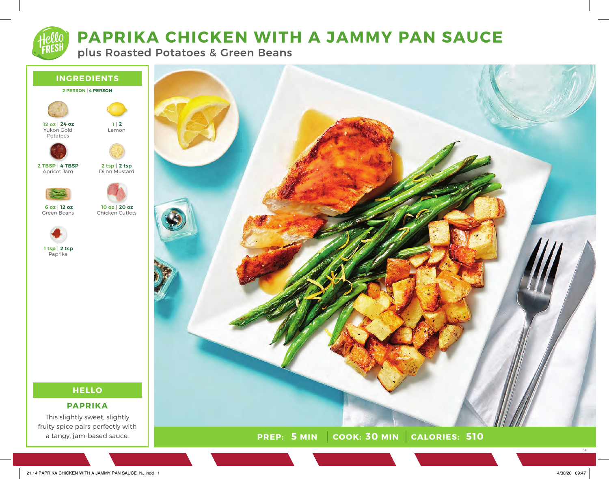# **PAPRIKA CHICKEN WITH A JAMMY PAN SAUCE**

plus Roasted Potatoes & Green Beans





**PREP:** 5 MIN COOK: 30 MIN **5 MIN 30 MIN 510**

14